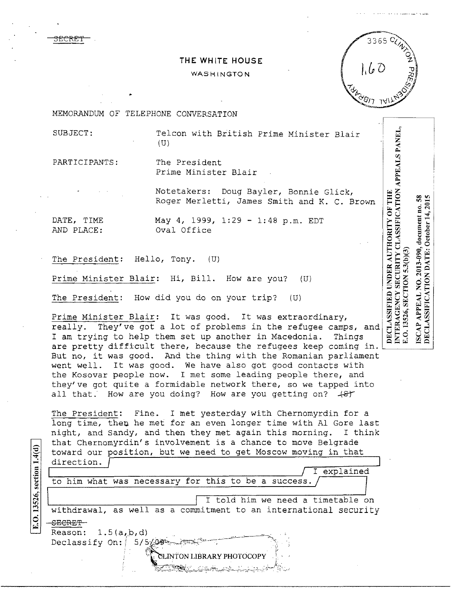3ECRE'f

## THE WHITE HOUSE

## WASHINGTON



.<br>.<br>اب  $\Xi$ 

ALS PA

 $APP$ 

.....\_.....

F THE<br>ATION<br>10.58<br>2015

 $\overline{O}$   $\overline{O}$   $\overline{H}$   $\overline{H}$   $\overline{H}$  $\begin{array}{cc}\n\text{N-O} & \text{H} \\
\text{FIC} & \text{H} \\
\text{H} & \text{H} \\
\text{H} & \text{H}\n\end{array}$  $\begin{matrix} 0 \ \text{SB} \end{matrix}$  and  $\begin{matrix} 0 \ \text{BS} \end{matrix}$ 

JTHORI<br>*K* CLASS<br>(3)<br>B: Octob<br>E: Octob

:R AU<br>!RITY<br>!:3(b)(:<br>...<br>DATE

 $\begin{array}{l} {\bf UNDED} \ {\bf SECU} \ {\bf NONS} \ {\bf SO} \ {\bf NO} \ {\bf NO} \ {\bf NO} \ {\bf NO} \ {\bf NO} \ {\bf NO} \end{array}$ 

.J

DECLASSIFICATION DATE: October 14, 2015

HHED<br>- FNC<br>- SEC<br>PEAL<br>PEAL  $\mathbb{E}$ is er $\mathbb{E}$ 

TLASSI<br>ERAG<br>- I:I5326<br>- AP API<br>- ALASSI প ৰ ত

~<br><u>| PLO & CO</u><br>|<br>| DEC & CO

MEMORANDUM OF TELEPHONE CONVERSATION

SUBJECT: Telcon with *Biitish* Prime Minister Blair (U)

PARTICIPANTS: The President Prime Minister Blair

> Notetakers: Doug Bayler, Bonnie Glick, Roger Merletti, James Smith and K. c. Brown

DATE, TIME May 4, 1999, 1:29 - 1:48 p.m. EDT AND PLACE: Oval Office

The President: Hello, Tony. (U)

Prime Minister Blair: Hi, Bill. How are you? (U)

The President: How did you do on your trip? (U)

Prime Minister Blair: It was good. It was extraordinary, really. They've got a lot of problems in the refugee camps, and I am trying to help them set up another in Macedonia. Things are pretty difficult there, because the refugees keep coming in. are precty difficult there, because the refugees keep coming in. but not it was good. This the thing with the nomanitum particular the Kosovar people now. I met some leading people there, and they've got quite a formidable network there, so we tapped into all that. How are you doing? How are you getting on?  $\#$ 

Fine. I met yesterday with Chernomyrdin for a nd time, then he met for an even longer time with Al Gore last night, and Sandy, and then they met again this morning. I think that Chernomyrdin's involvement is a chance to move Belgrade toward our position, but we need to get Moscow moving in that The President:

direction.  $\tilde{\int}$ explained to him what was necessary for this to be a success.  $\check{\Gamma}$ 

I told him we need a timetable on withdrawal, as well as a commitment to an international security S<del>ECRET -</del>

 $1.5(a,b,d)$  $\texttt{Reason: } 1.5(a, b, d)$ <br>Declassify On: 5/5  $\cancel{\omega}$  .  $\cdots$  ( $\cdots$ Reason:

E.O. 13526, section 1.4(d)

INTON LIBRARY PHOTOCOPY

-::::;'\_..:~~~-;-~---:~c-~1.,~7-=,:-;---:-"~~.;..- ~· h-\_.. ..,..-. ~. r;-•-?'- ~.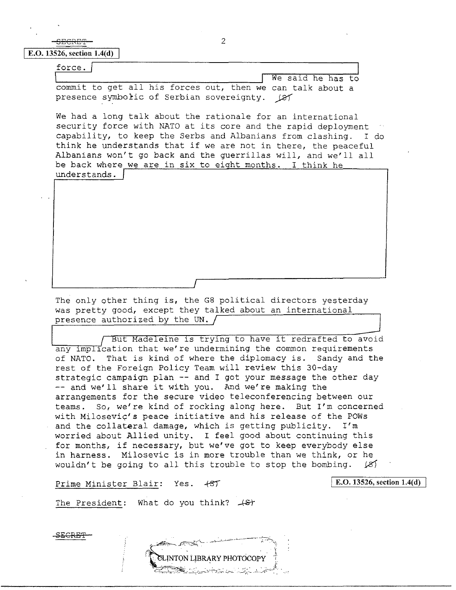SECRE'f **E.O. 13526, section 1.4(d)** 

| force.                                                     |                   |
|------------------------------------------------------------|-------------------|
|                                                            | We said he has to |
| commit to get all his forces out, then we can talk about a |                   |
| presence symbolic of Serbian sovereignty. (87              |                   |

We had a long talk about the rationale for an international security force with NATO at its core and the rapid deployment capability, to keep the Serbs and Albanians from clashing. I do think he understands that if we are not in there, the peaceful Albanians won't go back and the guerrillas will, and we'll all be back where we are in six to eioht months. I think he understands.

The only other thing is, the G8 political directors yesterday was pretty good, except they talked about an international presence authorized by the UN.  $\sqrt{ }$ 

I

ut Madeleine is trying to have it redrafted to avoid any implication that we're undermining the common requirements of NATO. That is kind of where the diplomacy is. Sandy and the rest of the Foreign Policy Team will review this 30-day strategic campaign plan -- and I got your message the other day -- and we'll share it with you. And we're making the arrangements for the secure video teleconferencing between our teams. So, we're kind of rocking along here. But I'm concerned with Milosevic's peace initiative and his release of the POWs<br>and the collateral damage, which is getting publicity. I'm and the collateral damage, which is getting publicity. worried about Allied unity. I feel good about continuing this for months, if necessary, but we've got to keep everybody else in harness. Milosevic is in more trouble than we think, or he wouldn't be going to all this trouble to stop the bombing.  $\cancel{25}$ 

Prime Minister Blair: Yes.  $+ST$ 

SECRET

**E.O. 13526, section 1.4(d)** 

The President: What do you think?  $+8t$ 

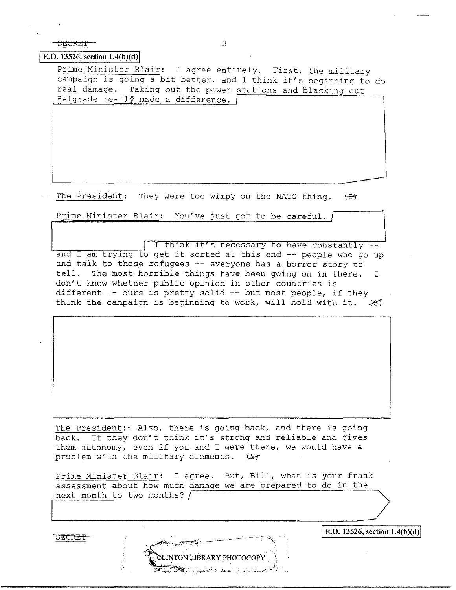SECRET TERM IN THE SECRET SALE OF A SECRET SALE OF A SALE OF A SALE OF A SALE OF A SALE OF A SALE OF A SALE OF A SALE OF A SALE OF A SALE OF A SALE OF A SALE OF A SALE OF A SALE OF A SALE OF A SALE OF A SALE OF A SALE OF A

SECRET-

;.

I

## **E.O. 13526, section 1.4(b)(d)**

Prime Minister Blair: I agree entirely. First, the military campaign is going a bit better, and I think it's beginning to do real damage. Taking out the power stations and blacking out Belgrade really made a difference.  $\lceil$ 

The President: They were too wimpy on the NATO thing.  $+5$ 

Prime Minister Blair: You've just got to be careful.

<sup>I</sup>I think it's necessary to have constantly - '-----~~-~-~-\_,.., and I am trying to get it sorted at this end -- people who go up and talk to those refugees -- everyone has a horror story to tell. The most horrible things have been going on in there. I don't know whether public opinion in other countries is different  $-$ - ours is pretty solid  $-$ - but most people, if they think the campaign is beginning to work, will hold with it.  $+85$ 

The President:· Also, there is going back, and there is going back. If they don't think it's strong and reliable and gives them autonomy, even if you and I were there, we would have a problem with the military elements.  $[5]$ 

Prime Minister Blair: I agree. But, Bill, what is your frank assessment about how much damage we are prepared to do in the next month to two months?  $/$  $\frac{\text{next moment to two molecules:}}{\text{next time}}$ 

INTON LIBRARY PHOTOCOP

E.O. 13526, section 1.4(b)(d)

-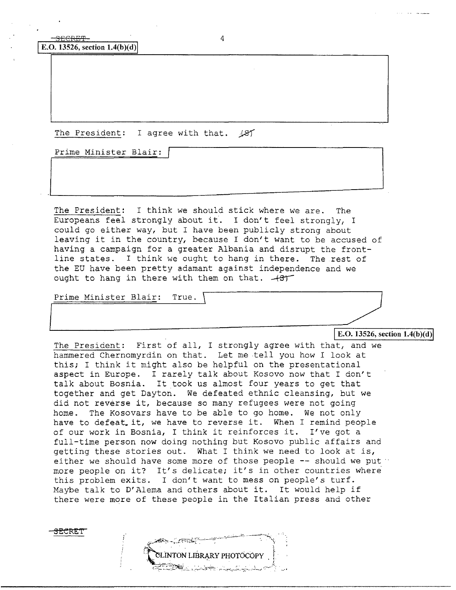$S_{\text{ECREF}-}$  4 **E.O. 13526, section 1.4(b)(d)** 

The President: I agree with that.  $\sqrt{2f}$ 

Prime Minister Blair:

The President: I think we should stick where we are. The Europeans feel strongly about it. I don't feel strongly, I could go either way, but I have been publicly strong about leaving it in the country, because I don't want to be accused of having a campaign for a greater Albania and disrupt the frontline states. I think we ought to hang in there. The rest of the EU have been pretty adamant against independence and we<br>ought to hang in there with them on that.  $-437$ 

Prime Minister Blair: True. \

<del>SECRE</del>T

E.O. 13526, section  $1.4(b)(d)$ 

.

The President: First of all, I strongly agree with that, and we hammered Chernomyrdin on that. Let me tell you how I look at this; I think it might also be helpful on the presentational aspect in Europe. I rarely talk about Kosovo now that I don't talk about Bosnia. It took us almost four years to get that together and get Dayton. We defeated ethnic cleansing, but we did not reverse it, because so many refugees were not going home. The Kosovars have to be able to go home. We not only have to defeat. it, we have to reverse it. When I remind people of our work in Bosnia, I think it reinforces it. I've got a full-time person now doing nothing but Kosovo public affairs and getting these stories out. What I think we need to look at is, either we should have some more of those people  $-$ - should we put  $\cdot$ more people on it? It's delicate; it's in other countries where this problem exits. I don't want to mess on people's turf. Maybe talk to D'Alema and others about it. It would help if there were more of these people in the Italian press and other

CLINTON LIBRARY PHOTOCOPY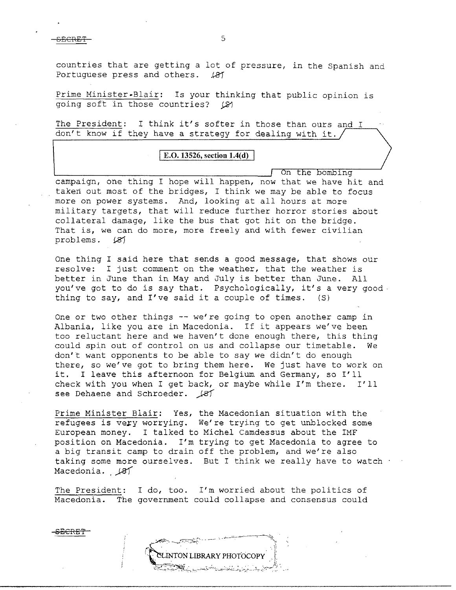SECRET SECRET SALES

countries that are getting a lot of pressure, in the Spanish and Portuguese press and others. 187 Portuguese press and others.

Prime Minister-Blair: Is your thinking that public opinion *is*   $\overline{\text{going soft in}}$  those countries?  $\varnothing$ 

The President: I think it's softer in those than ours and I don't know if they have a strategy for dealing with it.

## **E.O. 13526, section 1.4(d)**

On the bombing

campaign, one thing I hope will happen, now that we have hit and taken out most of the bridges, I think we may be able to focus more on power systems. And, looking at all hours at more military targets, that will reduce further horror stories about collateral damage, like the bus that got hit on the bridge. That is, we can do more, more freely and with fewer civilian problems. *U3')* 

One thing I said here that sends a good message, that shows our resolve: I just comment on the weather, that the weather is better in June than in May and July is better than June. All you've got to do is say that. Psychologically, it's a very good thing to say, and I've said it a couple of times. (S)

One or two other things -- we're going to open another camp in Albania, like you are in Macedonia. If it appears we've been too reluctant here and we haven't done enough there, this thing could spin out of control on us and collapse our timetable. We don't want opponents to be able to say we didn't do enough there, so we've got to bring them here. We just have to work on it. I leave this afternoon for Belgium and Germany, so I'll check with you when I get back, or maybe while I'm there. I'll see Dehaene and Schroeder.  $\cancel{181}$ 

Prime Minister Blair: Yes, the Macedonian situation with the refugees is very worrying. We're trying to get unblocked some European money. I talked to Michel camdessus about the IMF position on Macedonia. I'm trying to get Macedonia to agree to a big transit camp to drain off the problem, and we're also taking some more ourselves. But I think we really have to watch . Macedonia. , 481

The President: I do, too. I'm worried about the politics of Macedonia. The government could collapse and consensus could

**CLINTON LIBRARY PHOTOCOPY** 

SECRE'P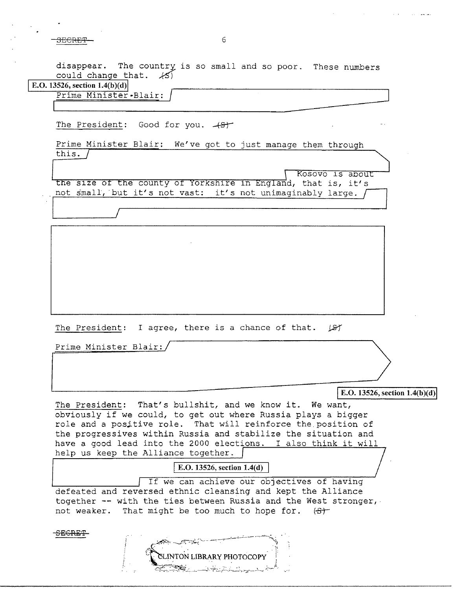SECRET— in the second second second second second second second second second second second second second second second second second second second second second second second second second second second second second seco

disappear. The country is so small and so poor. These numbers could change that.  $\angle$ 5)

**E.O.** 13526, section  $1.4(b)(d)$ 

Prime Minister·Blair: *J* **J** 

The President: Good for you. 48<sup>+</sup>

Prime Minister Blair: We've got to just manage them through<br>the size of the county of Yorkshire in England, that is, it's this.  $/$ 

**I** the size of the county of Yorkshire in England, that is, it's not small, but it's not vast: it's not unimaginably large.  $\int$ 

The President: I agree, there is a chance of that.  $\sqrt{ST}$ 

Prime Minister Blair:

SECRET

**E.O.** 13526, section 1.4(b)(d)

The President: That's bullshit, and we know it. We want, obviously if we could, to get out where Russia plays a bigger role and a positive role. That will reinforce the position of the progressives within Russia and stabilize the situation and have a good lead into the 2000 elections. I also think it will help us keep the Alliance together.

**E.O. 13526, section 1.4(d)** 

If we can achieve our objectives of having defeated and reversed ethnic cleansing and kept the Alliance together -- with the ties between Russia and the West stronger, not weaker. That might be too much to hope for.  $(5)^+$ 

LINTON LIBRARY PHOTOCOPY